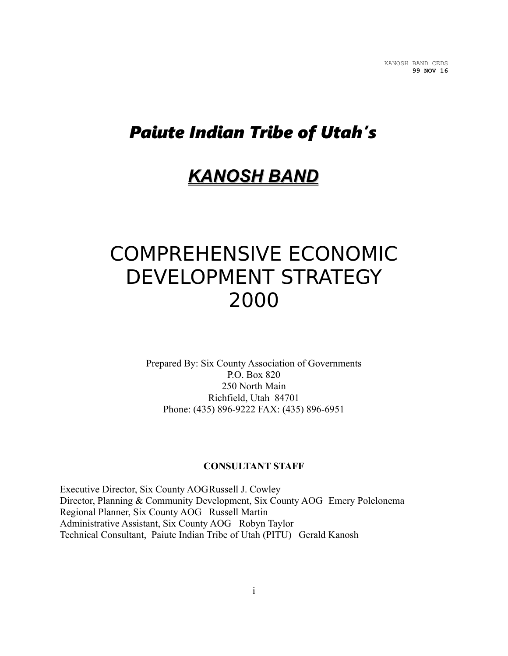# *Paiute Indian Tribe of Utah's*

# *KANOSH BAND*

# COMPREHENSIVE ECONOMIC DEVELOPMENT STRATEGY 2000

Prepared By: Six County Association of Governments P.O. Box 820 250 North Main Richfield, Utah 84701 Phone: (435) 896-9222 FAX: (435) 896-6951

#### **CONSULTANT STAFF**

Executive Director, Six County AOGRussell J. Cowley Director, Planning & Community Development, Six County AOG Emery Polelonema Regional Planner, Six County AOG Russell Martin Administrative Assistant, Six County AOG Robyn Taylor Technical Consultant, Paiute Indian Tribe of Utah (PITU) Gerald Kanosh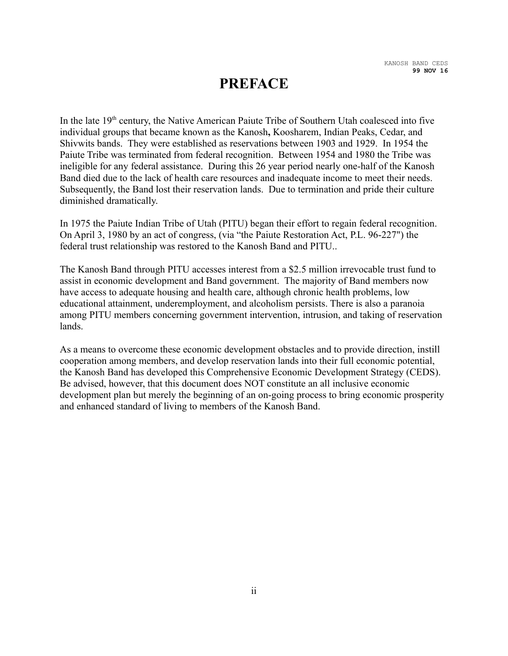## **PREFACE**

In the late  $19<sup>th</sup>$  century, the Native American Paiute Tribe of Southern Utah coalesced into five individual groups that became known as the Kanosh**,** Koosharem, Indian Peaks, Cedar, and Shivwits bands. They were established as reservations between 1903 and 1929. In 1954 the Paiute Tribe was terminated from federal recognition. Between 1954 and 1980 the Tribe was ineligible for any federal assistance. During this 26 year period nearly one-half of the Kanosh Band died due to the lack of health care resources and inadequate income to meet their needs. Subsequently, the Band lost their reservation lands. Due to termination and pride their culture diminished dramatically.

In 1975 the Paiute Indian Tribe of Utah (PITU) began their effort to regain federal recognition. On April 3, 1980 by an act of congress, (via "the Paiute Restoration Act, P.L. 96-227") the federal trust relationship was restored to the Kanosh Band and PITU..

The Kanosh Band through PITU accesses interest from a \$2.5 million irrevocable trust fund to assist in economic development and Band government. The majority of Band members now have access to adequate housing and health care, although chronic health problems, low educational attainment, underemployment, and alcoholism persists. There is also a paranoia among PITU members concerning government intervention, intrusion, and taking of reservation lands.

As a means to overcome these economic development obstacles and to provide direction, instill cooperation among members, and develop reservation lands into their full economic potential, the Kanosh Band has developed this Comprehensive Economic Development Strategy (CEDS). Be advised, however, that this document does NOT constitute an all inclusive economic development plan but merely the beginning of an on-going process to bring economic prosperity and enhanced standard of living to members of the Kanosh Band.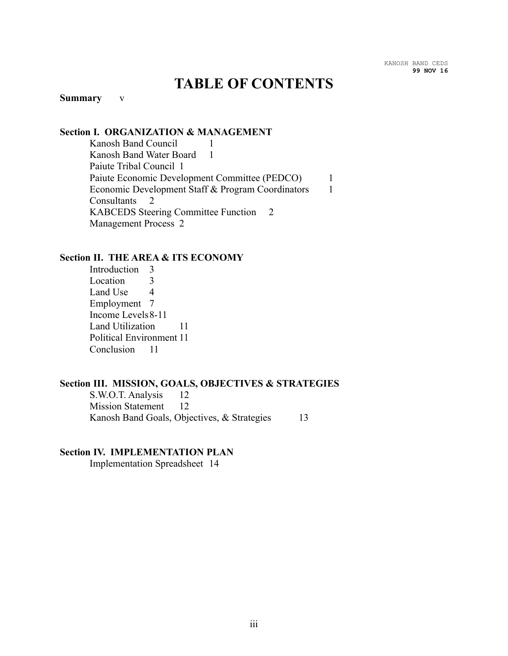## **TABLE OF CONTENTS**

#### **Summary** v

#### **Section I. ORGANIZATION & MANAGEMENT**

Kanosh Band Council 1 Kanosh Band Water Board 1 Paiute Tribal Council 1 Paiute Economic Development Committee (PEDCO) 1 Economic Development Staff & Program Coordinators 1 Consultants 2 KABCEDS Steering Committee Function 2 Management Process 2

#### **Section II. THE AREA & ITS ECONOMY**

Introduction 3 Location 3 Land Use 4 Employment 7 Income Levels8-11 Land Utilization 11 Political Environment 11 Conclusion 11

#### **Section III. MISSION, GOALS, OBJECTIVES & STRATEGIES**

S.W.O.T. Analysis 12 Mission Statement 12 Kanosh Band Goals, Objectives, & Strategies 13

#### **Section IV. IMPLEMENTATION PLAN**

Implementation Spreadsheet 14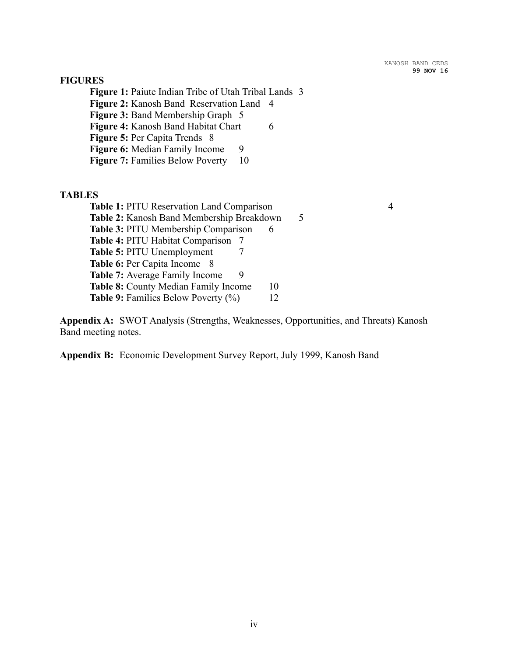#### **FIGURES**

**Figure 1:** Paiute Indian Tribe of Utah Tribal Lands 3 **Figure 2:** Kanosh Band Reservation Land 4 **Figure 3:** Band Membership Graph 5 **Figure 4:** Kanosh Band Habitat Chart 6 **Figure 5:** Per Capita Trends 8 **Figure 6:** Median Family Income 9 **Figure 7:** Families Below Poverty 10

#### **TABLES**

**Appendix A:** SWOT Analysis (Strengths, Weaknesses, Opportunities, and Threats) Kanosh Band meeting notes.

**Appendix B:** Economic Development Survey Report, July 1999, Kanosh Band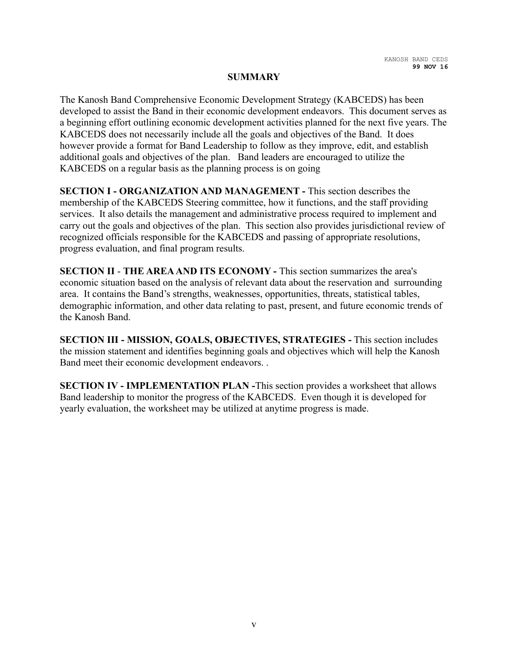#### **SUMMARY**

The Kanosh Band Comprehensive Economic Development Strategy (KABCEDS) has been developed to assist the Band in their economic development endeavors. This document serves as a beginning effort outlining economic development activities planned for the next five years. The KABCEDS does not necessarily include all the goals and objectives of the Band. It does however provide a format for Band Leadership to follow as they improve, edit, and establish additional goals and objectives of the plan. Band leaders are encouraged to utilize the KABCEDS on a regular basis as the planning process is on going

**SECTION I - ORGANIZATION AND MANAGEMENT -** This section describes the membership of the KABCEDS Steering committee, how it functions, and the staff providing services. It also details the management and administrative process required to implement and carry out the goals and objectives of the plan. This section also provides jurisdictional review of recognized officials responsible for the KABCEDS and passing of appropriate resolutions, progress evaluation, and final program results.

**SECTION II** - **THE AREA AND ITS ECONOMY -** This section summarizes the area's economic situation based on the analysis of relevant data about the reservation and surrounding area. It contains the Band's strengths, weaknesses, opportunities, threats, statistical tables, demographic information, and other data relating to past, present, and future economic trends of the Kanosh Band.

**SECTION III - MISSION, GOALS, OBJECTIVES, STRATEGIES -** This section includes the mission statement and identifies beginning goals and objectives which will help the Kanosh Band meet their economic development endeavors. .

**SECTION IV - IMPLEMENTATION PLAN -**This section provides a worksheet that allows Band leadership to monitor the progress of the KABCEDS. Even though it is developed for yearly evaluation, the worksheet may be utilized at anytime progress is made.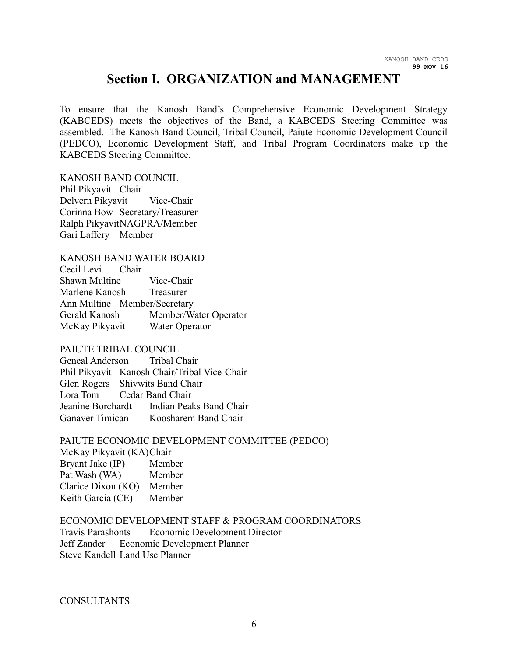## **Section I. ORGANIZATION and MANAGEMENT**

To ensure that the Kanosh Band's Comprehensive Economic Development Strategy (KABCEDS) meets the objectives of the Band, a KABCEDS Steering Committee was assembled. The Kanosh Band Council, Tribal Council, Paiute Economic Development Council (PEDCO), Economic Development Staff, and Tribal Program Coordinators make up the KABCEDS Steering Committee.

KANOSH BAND COUNCIL Phil Pikyavit Chair Delvern Pikyavit Vice-Chair Corinna Bow Secretary/Treasurer Ralph PikyavitNAGPRA/Member Gari Laffery Member

KANOSH BAND WATER BOARD

| Cecil Levi Chair             |                       |
|------------------------------|-----------------------|
| <b>Shawn Multine</b>         | Vice-Chair            |
| Marlene Kanosh Treasurer     |                       |
| Ann Multine Member/Secretary |                       |
| Gerald Kanosh                | Member/Water Operator |
| McKay Pikyavit               | Water Operator        |

#### PAIUTE TRIBAL COUNCIL

Geneal Anderson Tribal Chair Phil Pikyavit Kanosh Chair/Tribal Vice-Chair Glen Rogers Shivwits Band Chair Lora Tom Cedar Band Chair Jeanine Borchardt Indian Peaks Band Chair Ganaver Timican Koosharem Band Chair

#### PAIUTE ECONOMIC DEVELOPMENT COMMITTEE (PEDCO)

#### McKay Pikyavit (KA)Chair

| Bryant Jake (IP)   | Member |
|--------------------|--------|
| Pat Wash (WA)      | Member |
| Clarice Dixon (KO) | Member |
| Keith Garcia (CE)  | Member |

#### ECONOMIC DEVELOPMENT STAFF & PROGRAM COORDINATORS

Travis Parashonts Economic Development Director Jeff Zander Economic Development Planner Steve Kandell Land Use Planner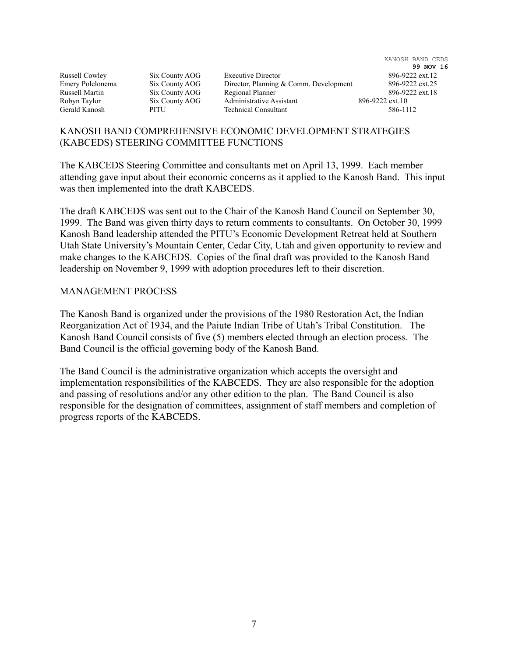|                  |                |                                        | KANOSH BAND CEDS |
|------------------|----------------|----------------------------------------|------------------|
|                  |                |                                        | 99 NOV 16        |
| Russell Cowley   | Six County AOG | <b>Executive Director</b>              | 896-9222 ext.12  |
| Emery Polelonema | Six County AOG | Director, Planning & Comm. Development | 896-9222 ext.25  |
| Russell Martin   | Six County AOG | Regional Planner                       | 896-9222 ext.18  |
| Robyn Taylor     | Six County AOG | Administrative Assistant               | 896-9222 ext.10  |
| Gerald Kanosh    | PITU           | <b>Technical Consultant</b>            | 586-1112         |
|                  |                |                                        |                  |

#### KANOSH BAND COMPREHENSIVE ECONOMIC DEVELOPMENT STRATEGIES (KABCEDS) STEERING COMMITTEE FUNCTIONS

The KABCEDS Steering Committee and consultants met on April 13, 1999. Each member attending gave input about their economic concerns as it applied to the Kanosh Band. This input was then implemented into the draft KABCEDS.

The draft KABCEDS was sent out to the Chair of the Kanosh Band Council on September 30, 1999. The Band was given thirty days to return comments to consultants. On October 30, 1999 Kanosh Band leadership attended the PITU's Economic Development Retreat held at Southern Utah State University's Mountain Center, Cedar City, Utah and given opportunity to review and make changes to the KABCEDS. Copies of the final draft was provided to the Kanosh Band leadership on November 9, 1999 with adoption procedures left to their discretion.

#### MANAGEMENT PROCESS

The Kanosh Band is organized under the provisions of the 1980 Restoration Act, the Indian Reorganization Act of 1934, and the Paiute Indian Tribe of Utah's Tribal Constitution. The Kanosh Band Council consists of five (5) members elected through an election process. The Band Council is the official governing body of the Kanosh Band.

The Band Council is the administrative organization which accepts the oversight and implementation responsibilities of the KABCEDS. They are also responsible for the adoption and passing of resolutions and/or any other edition to the plan. The Band Council is also responsible for the designation of committees, assignment of staff members and completion of progress reports of the KABCEDS.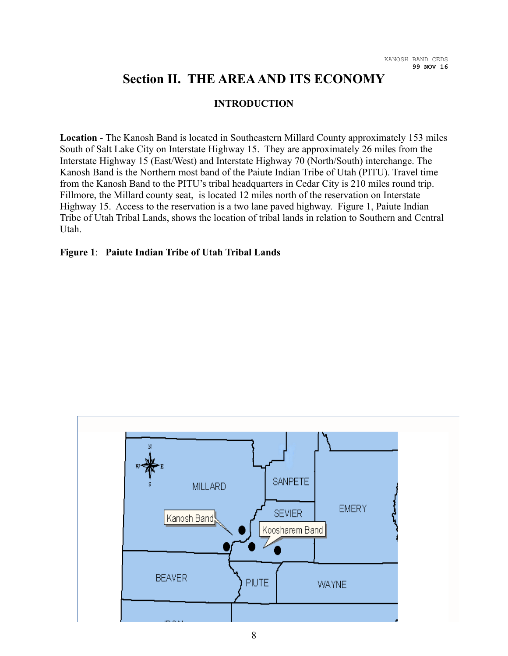## **Section II. THE AREA AND ITS ECONOMY**

#### **INTRODUCTION**

**Location** - The Kanosh Band is located in Southeastern Millard County approximately 153 miles South of Salt Lake City on Interstate Highway 15. They are approximately 26 miles from the Interstate Highway 15 (East/West) and Interstate Highway 70 (North/South) interchange. The Kanosh Band is the Northern most band of the Paiute Indian Tribe of Utah (PITU). Travel time from the Kanosh Band to the PITU's tribal headquarters in Cedar City is 210 miles round trip. Fillmore, the Millard county seat, is located 12 miles north of the reservation on Interstate Highway 15. Access to the reservation is a two lane paved highway. Figure 1, Paiute Indian Tribe of Utah Tribal Lands, shows the location of tribal lands in relation to Southern and Central Utah.

#### **Figure 1**: **Paiute Indian Tribe of Utah Tribal Lands**

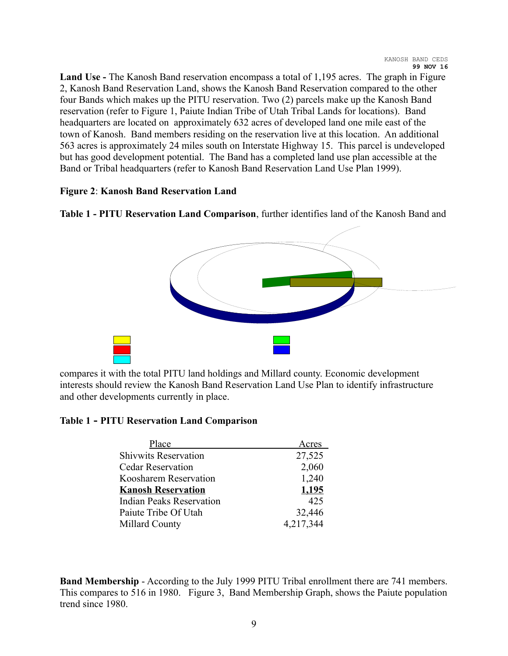**Land Use -** The Kanosh Band reservation encompass a total of 1,195 acres. The graph in Figure 2, Kanosh Band Reservation Land, shows the Kanosh Band Reservation compared to the other four Bands which makes up the PITU reservation. Two (2) parcels make up the Kanosh Band reservation (refer to Figure 1, Paiute Indian Tribe of Utah Tribal Lands for locations). Band headquarters are located on approximately 632 acres of developed land one mile east of the town of Kanosh. Band members residing on the reservation live at this location. An additional 563 acres is approximately 24 miles south on Interstate Highway 15. This parcel is undeveloped but has good development potential. The Band has a completed land use plan accessible at the Band or Tribal headquarters (refer to Kanosh Band Reservation Land Use Plan 1999).

#### **Figure 2**: **Kanosh Band Reservation Land**

**Table 1 - PITU Reservation Land Comparison**, further identifies land of the Kanosh Band and



compares it with the total PITU land holdings and Millard county. Economic development interests should review the Kanosh Band Reservation Land Use Plan to identify infrastructure and other developments currently in place.

#### **Table 1 - PITU Reservation Land Comparison**

| Acres     |
|-----------|
| 27,525    |
| 2,060     |
| 1,240     |
| 1,195     |
| 425       |
| 32,446    |
| 4,217,344 |
|           |

**Band Membership** - According to the July 1999 PITU Tribal enrollment there are 741 members. This compares to 516 in 1980. Figure 3, Band Membership Graph, shows the Paiute population trend since 1980.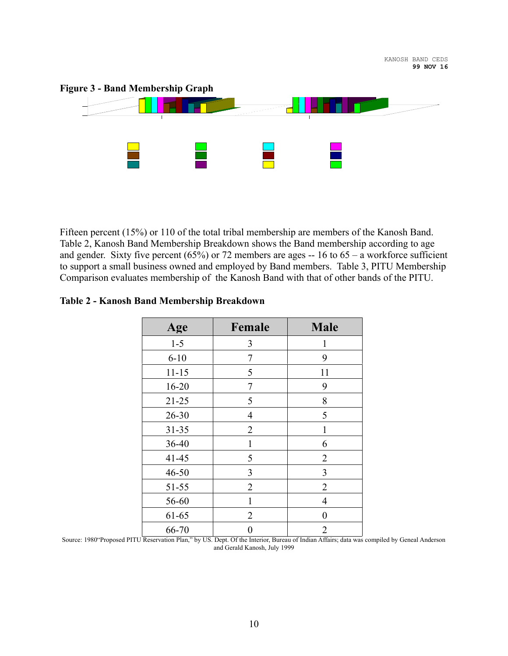

Fifteen percent (15%) or 110 of the total tribal membership are members of the Kanosh Band. Table 2, Kanosh Band Membership Breakdown shows the Band membership according to age and gender. Sixty five percent  $(65%)$  or 72 members are ages -- 16 to 65 – a workforce sufficient to support a small business owned and employed by Band members. Table 3, PITU Membership Comparison evaluates membership of the Kanosh Band with that of other bands of the PITU.

|  |  |  |  |  | Table 2 - Kanosh Band Membership Breakdown |
|--|--|--|--|--|--------------------------------------------|
|--|--|--|--|--|--------------------------------------------|

| Age       | Female         | <b>Male</b>    |
|-----------|----------------|----------------|
| $1 - 5$   | 3              | 1              |
| $6 - 10$  | 7              | 9              |
| $11 - 15$ | 5              | 11             |
| $16 - 20$ | 7              | 9              |
| $21 - 25$ | 5              | 8              |
| $26 - 30$ | 4              | 5              |
| $31 - 35$ | $\overline{2}$ | 1              |
| 36-40     | 1              | 6              |
| $41 - 45$ | 5              | $\overline{2}$ |
| $46 - 50$ | 3              | 3              |
| $51 - 55$ | 2              | 2              |
| 56-60     | 1              | 4              |
| 61-65     | 2              | $\overline{0}$ |
| 66-70     |                | $\overline{2}$ |

Source: 1980"Proposed PITU Reservation Plan," by US. Dept. Of the Interior, Bureau of Indian Affairs; data was compiled by Geneal Anderson and Gerald Kanosh, July 1999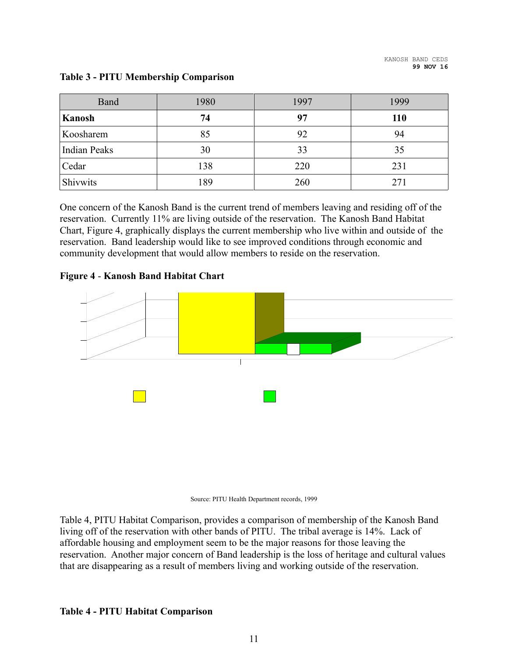| Band                | 1980 | 1997 | 1999       |
|---------------------|------|------|------------|
| Kanosh              | 74   | 97   | <b>110</b> |
| Koosharem           | 85   | 92   | 94         |
| <b>Indian Peaks</b> | 30   | 33   | 35         |
| Cedar               | 138  | 220  | 231        |
| Shivwits            | 189  | 260  | 271        |

#### **Table 3 - PITU Membership Comparison**

One concern of the Kanosh Band is the current trend of members leaving and residing off of the reservation. Currently 11% are living outside of the reservation. The Kanosh Band Habitat Chart, Figure 4, graphically displays the current membership who live within and outside of the reservation. Band leadership would like to see improved conditions through economic and community development that would allow members to reside on the reservation.

#### **Figure 4** - **Kanosh Band Habitat Chart**





Table 4, PITU Habitat Comparison, provides a comparison of membership of the Kanosh Band living off of the reservation with other bands of PITU. The tribal average is 14%. Lack of affordable housing and employment seem to be the major reasons for those leaving the reservation. Another major concern of Band leadership is the loss of heritage and cultural values that are disappearing as a result of members living and working outside of the reservation.

#### **Table 4 - PITU Habitat Comparison**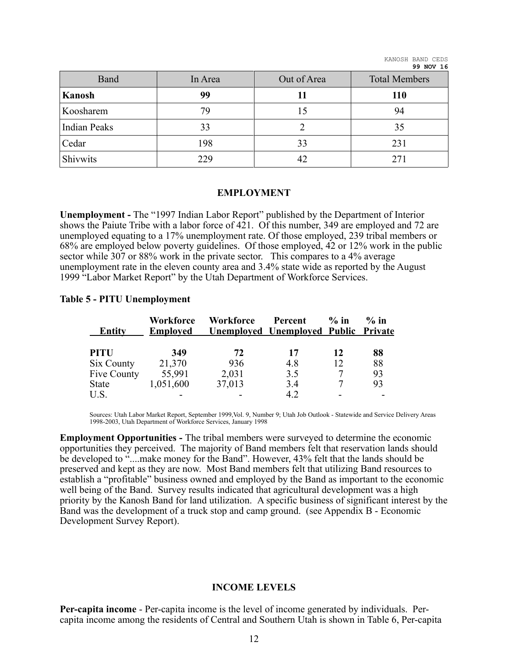| Band                | In Area | Out of Area | <b>Total Members</b> |
|---------------------|---------|-------------|----------------------|
| Kanosh              | 99      | 11          | <b>110</b>           |
| Koosharem           | 79      | 15          | 94                   |
| <b>Indian Peaks</b> | 33      |             | 35                   |
| Cedar               | 198     | 33          | 231                  |
| Shivwits            | 229     | 42          | 271                  |

#### **EMPLOYMENT**

**Unemployment -** The "1997 Indian Labor Report" published by the Department of Interior shows the Paiute Tribe with a labor force of 421. Of this number, 349 are employed and 72 are unemployed equating to a 17% unemployment rate. Of those employed, 239 tribal members or 68% are employed below poverty guidelines. Of those employed, 42 or 12% work in the public sector while 307 or 88% work in the private sector. This compares to a 4% average unemployment rate in the eleven county area and 3.4% state wide as reported by the August 1999 "Labor Market Report" by the Utah Department of Workforce Services.

#### **Table 5 - PITU Unemployment**

| Entity      | Workforce<br><b>Employed</b> | <b>Workforce</b> | Percent<br><u><b>Unemployed Unemployed Public Private</b></u> | $\%$ in | $\%$ in |
|-------------|------------------------------|------------------|---------------------------------------------------------------|---------|---------|
| <b>PITU</b> | 349                          | 72               | 17                                                            | 12      | 88      |
| Six County  | 21,370                       | 936              | 4.8                                                           | 12      | 88      |
| Five County | 55,991                       | 2,031            | 3.5                                                           | 7       | 93      |
| State       | 1,051,600                    | 37,013           | 3.4                                                           |         | 93      |
| U.S.        |                              |                  | 4.2                                                           |         |         |

Sources: Utah Labor Market Report, September 1999,Vol. 9, Number 9; Utah Job Outlook - Statewide and Service Delivery Areas 1998-2003, Utah Department of Workforce Services, January 1998

**Employment Opportunities -** The tribal members were surveyed to determine the economic opportunities they perceived. The majority of Band members felt that reservation lands should be developed to "....make money for the Band". However, 43% felt that the lands should be preserved and kept as they are now. Most Band members felt that utilizing Band resources to establish a "profitable" business owned and employed by the Band as important to the economic well being of the Band. Survey results indicated that agricultural development was a high priority by the Kanosh Band for land utilization. A specific business of significant interest by the Band was the development of a truck stop and camp ground. (see Appendix B - Economic Development Survey Report).

#### **INCOME LEVELS**

**Per-capita income** - Per-capita income is the level of income generated by individuals. Percapita income among the residents of Central and Southern Utah is shown in Table 6, Per-capita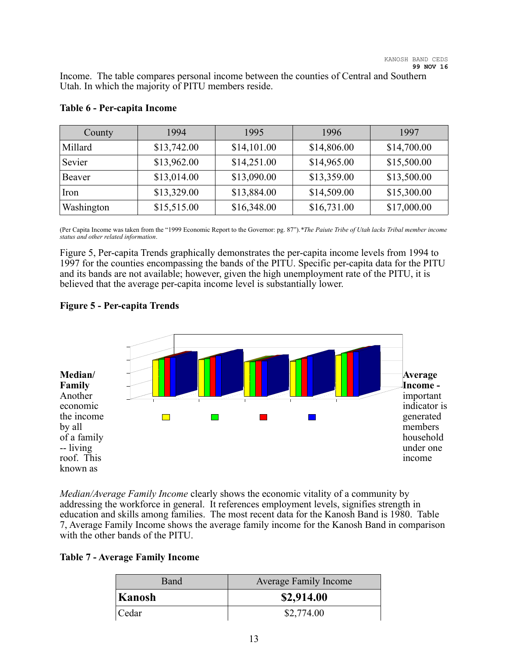Income. The table compares personal income between the counties of Central and Southern Utah. In which the majority of PITU members reside.

| County     | 1994        | 1995        | 1996        | 1997        |
|------------|-------------|-------------|-------------|-------------|
| Millard    | \$13,742.00 | \$14,101.00 | \$14,806.00 | \$14,700.00 |
| Sevier     | \$13,962.00 | \$14,251.00 | \$14,965.00 | \$15,500.00 |
| Beaver     | \$13,014.00 | \$13,090.00 | \$13,359.00 | \$13,500.00 |
| Iron       | \$13,329.00 | \$13,884.00 | \$14,509.00 | \$15,300.00 |
| Washington | \$15,515.00 | \$16,348.00 | \$16,731.00 | \$17,000.00 |

#### **Table 6 - Per-capita Income**

(Per Capita Income was taken from the "1999 Economic Report to the Governor: pg. 87").*\*The Paiute Tribe of Utah lacks Tribal member income status and other related information*.

Figure 5, Per-capita Trends graphically demonstrates the per-capita income levels from 1994 to 1997 for the counties encompassing the bands of the PITU. Specific per-capita data for the PITU and its bands are not available; however, given the high unemployment rate of the PITU, it is believed that the average per-capita income level is substantially lower.

#### **Figure 5 - Per-capita Trends**



*Median/Average Family Income* clearly shows the economic vitality of a community by addressing the workforce in general. It references employment levels, signifies strength in education and skills among families. The most recent data for the Kanosh Band is 1980. Table 7, Average Family Income shows the average family income for the Kanosh Band in comparison with the other bands of the PITU.

#### **Table 7 - Average Family Income**

| Band   | <b>Average Family Income</b> |
|--------|------------------------------|
| Kanosh | \$2,914.00                   |
| Cedar  | \$2,774.00                   |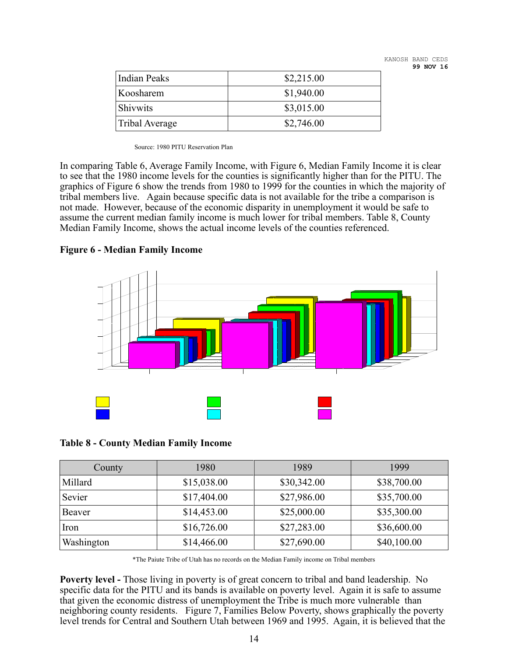KANOSH BAND CEDS **99 NOV 16**

| <b>Indian Peaks</b> | \$2,215.00 |
|---------------------|------------|
| Koosharem           | \$1,940.00 |
| <b>Shivwits</b>     | \$3,015.00 |
| Tribal Average      | \$2,746.00 |

Source: 1980 PITU Reservation Plan

In comparing Table 6, Average Family Income, with Figure 6, Median Family Income it is clear to see that the 1980 income levels for the counties is significantly higher than for the PITU. The graphics of Figure 6 show the trends from 1980 to 1999 for the counties in which the majority of tribal members live. Again because specific data is not available for the tribe a comparison is not made. However, because of the economic disparity in unemployment it would be safe to assume the current median family income is much lower for tribal members. Table 8, County Median Family Income, shows the actual income levels of the counties referenced.

**Figure 6 - Median Family Income**



#### **Table 8 - County Median Family Income**

| County     | 1980        | 1989        | 1999        |
|------------|-------------|-------------|-------------|
| Millard    | \$15,038.00 | \$30,342.00 | \$38,700.00 |
| Sevier     | \$17,404.00 | \$27,986.00 | \$35,700.00 |
| Beaver     | \$14,453.00 | \$25,000.00 | \$35,300.00 |
| Iron       | \$16,726.00 | \$27,283.00 | \$36,600.00 |
| Washington | \$14,466.00 | \$27,690.00 | \$40,100.00 |

\*The Paiute Tribe of Utah has no records on the Median Family income on Tribal members

**Poverty level -** Those living in poverty is of great concern to tribal and band leadership. No specific data for the PITU and its bands is available on poverty level. Again it is safe to assume that given the economic distress of unemployment the Tribe is much more vulnerable than neighboring county residents. Figure 7, Families Below Poverty, shows graphically the poverty level trends for Central and Southern Utah between 1969 and 1995. Again, it is believed that the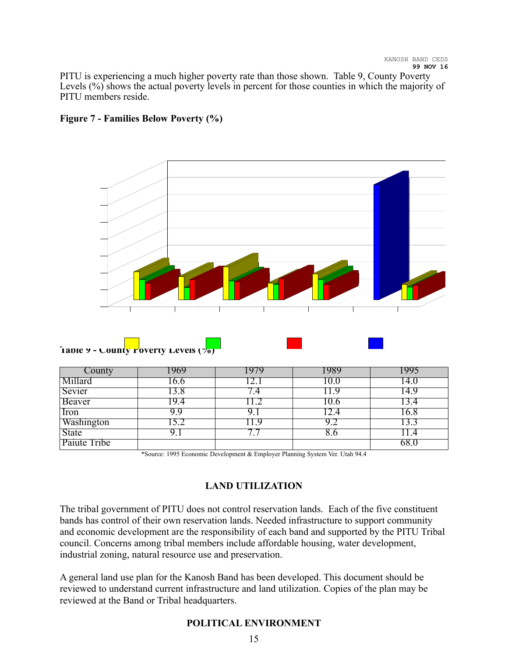PITU is experiencing a much higher poverty rate than those shown. Table 9, County Poverty Levels (%) shows the actual poverty levels in percent for those counties in which the majority of PITU members reside.



#### **Figure 7 - Families Below Poverty (%)**

| County       | 969  |    | .989  |       |
|--------------|------|----|-------|-------|
| Millard      | .6.0 |    | [O.O  | l 4.U |
| Sevier       | 13.8 |    |       | l 4.9 |
| Beaver       | 19.4 |    | l 0.6 |       |
| Iron         | 9.9  |    | .2.4  | 16.8  |
| Washington   | ے.د  | .9 |       |       |
| <b>State</b> |      |    | 8.0   |       |
| Paiute Tribe |      |    |       |       |

\*Source: 1995 Economic Development & Employer Planning System Ver. Utah 94.4

#### **LAND UTILIZATION**

The tribal government of PITU does not control reservation lands. Each of the five constituent bands has control of their own reservation lands. Needed infrastructure to support community and economic development are the responsibility of each band and supported by the PITU Tribal council. Concerns among tribal members include affordable housing, water development, industrial zoning, natural resource use and preservation.

A general land use plan for the Kanosh Band has been developed. This document should be reviewed to understand current infrastructure and land utilization. Copies of the plan may be reviewed at the Band or Tribal headquarters.

#### **POLITICAL ENVIRONMENT**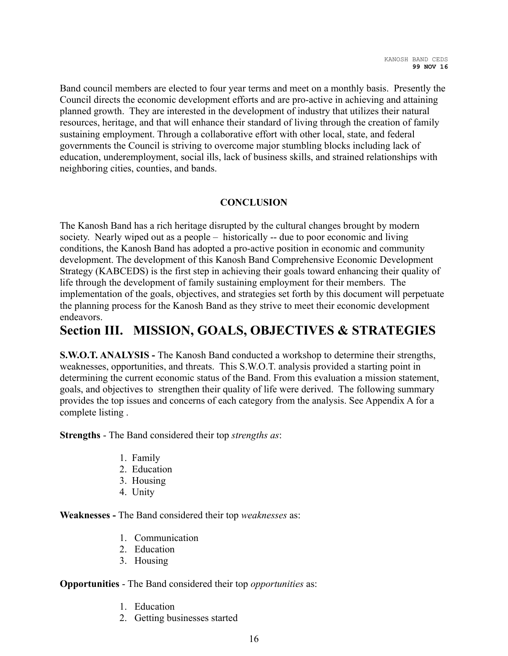Band council members are elected to four year terms and meet on a monthly basis. Presently the Council directs the economic development efforts and are pro-active in achieving and attaining planned growth. They are interested in the development of industry that utilizes their natural resources, heritage, and that will enhance their standard of living through the creation of family sustaining employment. Through a collaborative effort with other local, state, and federal governments the Council is striving to overcome major stumbling blocks including lack of education, underemployment, social ills, lack of business skills, and strained relationships with neighboring cities, counties, and bands.

#### **CONCLUSION**

The Kanosh Band has a rich heritage disrupted by the cultural changes brought by modern society. Nearly wiped out as a people – historically -- due to poor economic and living conditions, the Kanosh Band has adopted a pro-active position in economic and community development. The development of this Kanosh Band Comprehensive Economic Development Strategy (KABCEDS) is the first step in achieving their goals toward enhancing their quality of life through the development of family sustaining employment for their members. The implementation of the goals, objectives, and strategies set forth by this document will perpetuate the planning process for the Kanosh Band as they strive to meet their economic development endeavors.

### **Section III. MISSION, GOALS, OBJECTIVES & STRATEGIES**

**S.W.O.T. ANALYSIS - The Kanosh Band conducted a workshop to determine their strengths,** weaknesses, opportunities, and threats. This S.W.O.T. analysis provided a starting point in determining the current economic status of the Band. From this evaluation a mission statement, goals, and objectives to strengthen their quality of life were derived. The following summary provides the top issues and concerns of each category from the analysis. See Appendix A for a complete listing .

**Strengths** - The Band considered their top *strengths as*:

- 1. Family
- 2. Education
- 3. Housing
- 4. Unity

**Weaknesses -** The Band considered their top *weaknesses* as:

- 1. Communication
- 2. Education
- 3. Housing

#### **Opportunities** - The Band considered their top *opportunities* as:

- 1. Education
- 2. Getting businesses started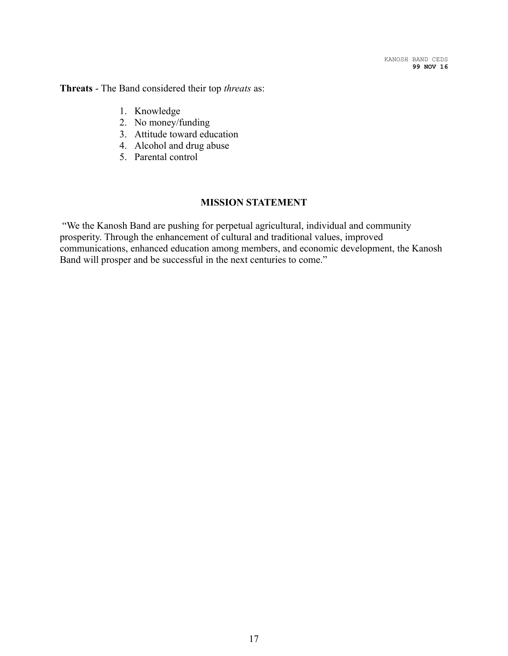**Threats** - The Band considered their top *threats* as:

- 1. Knowledge
- 2. No money/funding
- 3. Attitude toward education
- 4. Alcohol and drug abuse
- 5. Parental control

#### **MISSION STATEMENT**

"We the Kanosh Band are pushing for perpetual agricultural, individual and community prosperity. Through the enhancement of cultural and traditional values, improved communications, enhanced education among members, and economic development, the Kanosh Band will prosper and be successful in the next centuries to come."